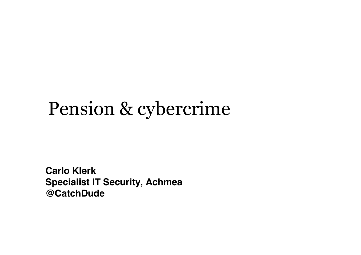# Pension & cybercrime

**Carlo Klerk Specialist IT Security, Achmea @CatchDude**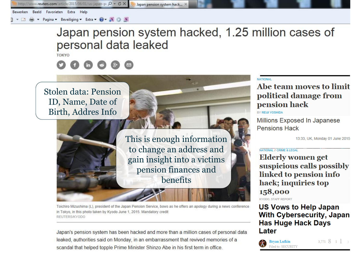http://www.reuters.com/article/2015/06/01/us-japan-pi Q - C X

### Japan pension system hacked, 1.25 million cases of personal data leaked

Japan pension system hack... X

**TOKYO** 



**Stolen data: Pension** ID, Name, Date of Birth, Addres Info





Toichiro Mizushima (L), president of the Japan Pension Service, bows as he offers an apology during a news conference in Tokyo, in this photo taken by Kyodo June 1, 2015. Mandatory credit REUTERS/KYODO

Japan's pension system has been hacked and more than a million cases of personal data leaked, authorities said on Monday, in an embarrassment that revived memories of a scandal that helped topple Prime Minister Shinzo Abe in his first term in office.

#### **NATIONAL**

#### Abe team moves to limit political damage from pension hack

BY REIJI YOSHIDA

Millions Exposed In Japanese **Pensions Hack** 

13:33, UK, Monday 01 June 2015

#### **NATIONAL / CRIME & LEGAL**

Elderly women get suspicious calls possibly linked to pension info hack; inquiries top 158,000 **KYODO, STAFF REPORT** 

**US Vows to Help Japan With Cybersecurity, Japan Has Huge Hack Days** Later

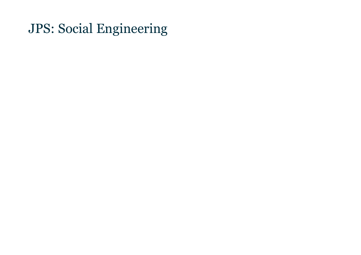JPS: Social Engineering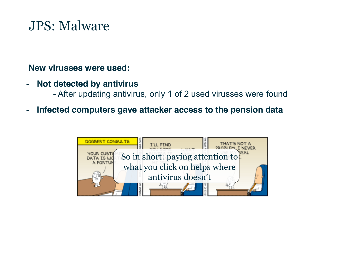## JPS: Malware

### **New virusses were used:**

- **Not detected by antivirus**
	- After updating antivirus, only 1 of 2 used virusses were found
- **Infected computers gave attacker access to the pension data**

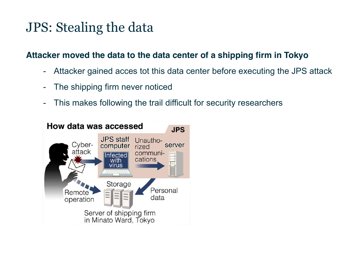## JPS: Stealing the data

### **Attacker moved the data to the data center of a shipping firm in Tokyo**

- Attacker gained acces tot this data center before executing the JPS attack
- The shipping firm never noticed
- This makes following the trail difficult for security researchers

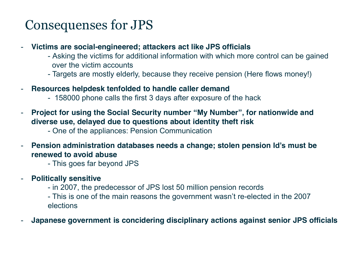## Consequenses for JPS

- **Victims are social-engineered; attackers act like JPS officials** 
	- Asking the victims for additional information with which more control can be gained over the victim accounts
	- Targets are mostly elderly, because they receive pension (Here flows money!)
- **Resources helpdesk tenfolded to handle caller demand**
	- 158000 phone calls the first 3 days after exposure of the hack
- **Project for using the Social Security number "My Number", for nationwide and diverse use, delayed due to questions about identity theft risk**
	- One of the appliances: Pension Communication
- **Pension administration databases needs a change; stolen pension Id's must be renewed to avoid abuse**
	- This goes far beyond JPS
- **Politically sensitive**
	- in 2007, the predecessor of JPS lost 50 million pension records
	- This is one of the main reasons the government wasn't re-elected in the 2007 elections
- **Japanese government is concidering disciplinary actions against senior JPS officials**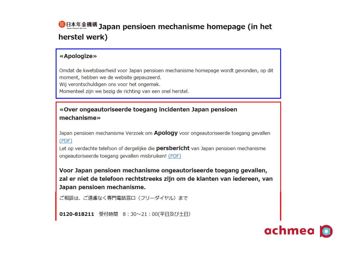### <mark>● 日本年金機構 Japan pensioen mechanisme homepage (in het</mark> herstel werk)

#### «Apologize»

Omdat de kwetsbaarheid voor Japan pensioen mechanisme homepage wordt gevonden, op dit moment, hebben we de website gepauzeerd.

Wij verontschuldigen ons voor het ongemak.

Momenteel zijn we bezig de richting van een snel herstel.

#### «Over ongeautoriseerde toegang incidenten Japan pensioen mechanisme»

Japan pensioen mechanisme Verzoek om Apology voor ongeautoriseerde toegang gevallen  $(PDF)$ 

Let op verdachte telefoon of dergelijke die **persbericht** van Japan pensioen mechanisme ongeautoriseerde toegang gevallen misbruiken! (PDF)

Voor Japan pensioen mechanisme ongeautoriseerde toegang gevallen, zal er niet de telefoon rechtstreeks zijn om de klanten van iedereen, van Japan pensioen mechanisme.

```
ご相談は、ご遠慮なく専門電話窓口(フリーダイヤル)まで
```
0120-818211 受付時間 8:30~21:00(平日及び土日)

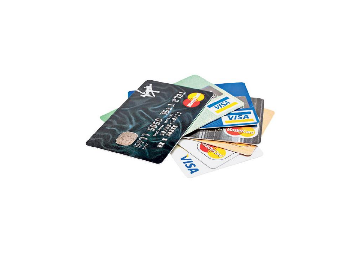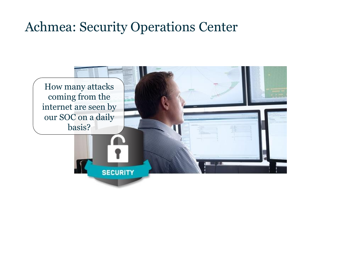### Achmea: Security Operations Center

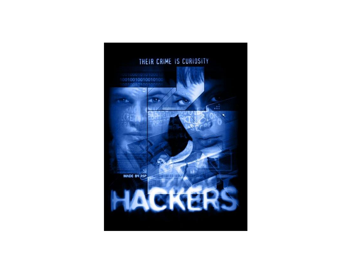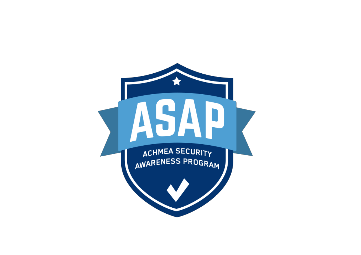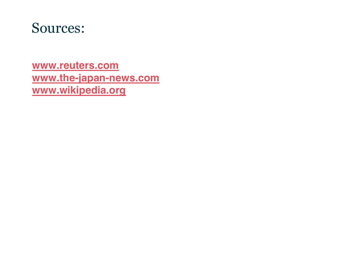

**www.reuters.com www.the-japan-news.com www.wikipedia.org**